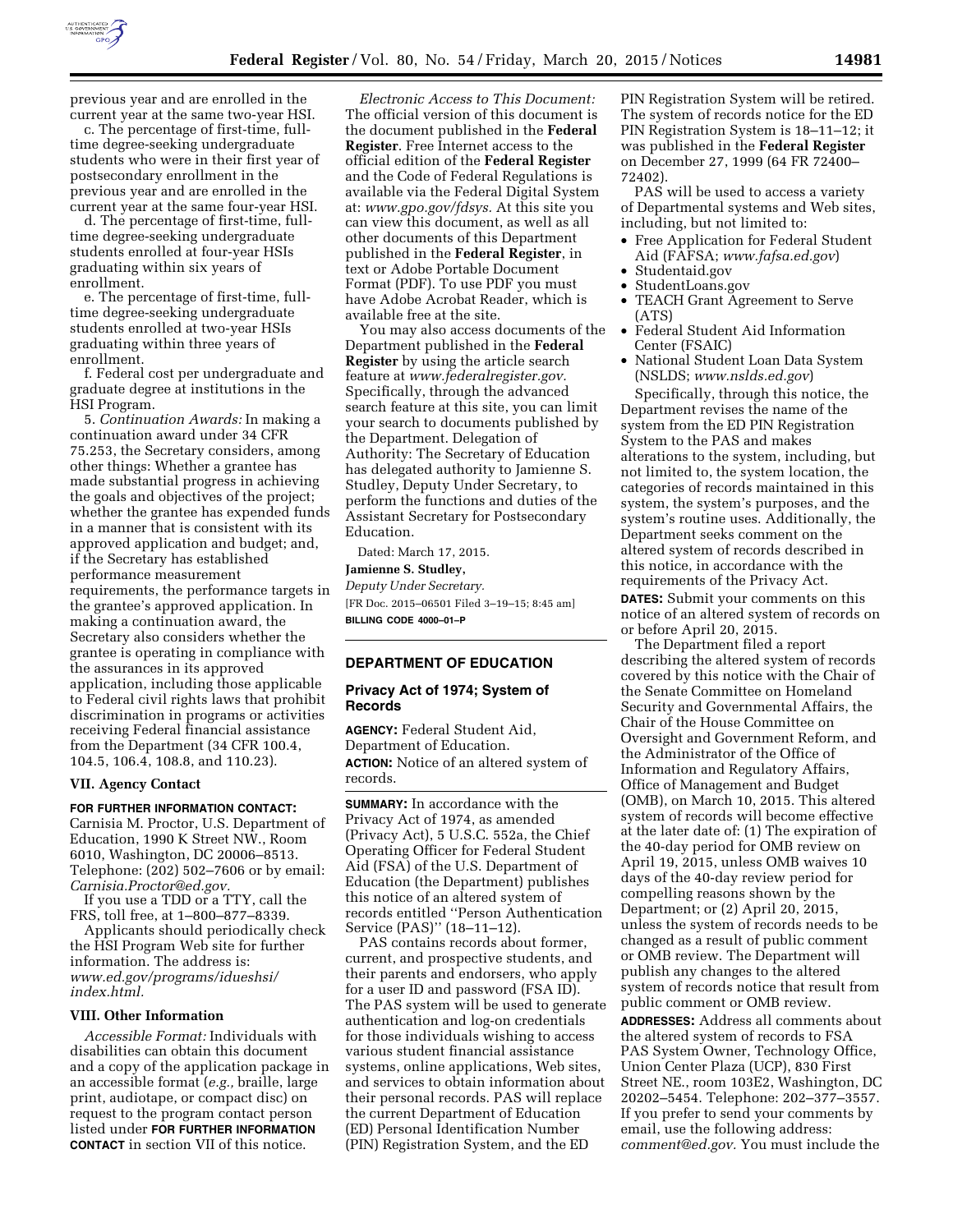

previous year and are enrolled in the current year at the same two-year HSI.

c. The percentage of first-time, fulltime degree-seeking undergraduate students who were in their first year of postsecondary enrollment in the previous year and are enrolled in the current year at the same four-year HSI.

d. The percentage of first-time, fulltime degree-seeking undergraduate students enrolled at four-year HSIs graduating within six years of enrollment.

e. The percentage of first-time, fulltime degree-seeking undergraduate students enrolled at two-year HSIs graduating within three years of enrollment.

f. Federal cost per undergraduate and graduate degree at institutions in the HSI Program.

5. *Continuation Awards:* In making a continuation award under 34 CFR 75.253, the Secretary considers, among other things: Whether a grantee has made substantial progress in achieving the goals and objectives of the project; whether the grantee has expended funds in a manner that is consistent with its approved application and budget; and, if the Secretary has established performance measurement requirements, the performance targets in the grantee's approved application. In making a continuation award, the Secretary also considers whether the grantee is operating in compliance with the assurances in its approved application, including those applicable to Federal civil rights laws that prohibit discrimination in programs or activities receiving Federal financial assistance from the Department (34 CFR 100.4, 104.5, 106.4, 108.8, and 110.23).

### **VII. Agency Contact**

## **FOR FURTHER INFORMATION CONTACT:**

Carnisia M. Proctor, U.S. Department of Education, 1990 K Street NW., Room 6010, Washington, DC 20006–8513. Telephone: (202) 502–7606 or by email: *[Carnisia.Proctor@ed.gov.](mailto:Carnisia.Proctor@ed.gov)* 

If you use a TDD or a TTY, call the FRS, toll free, at 1–800–877–8339.

Applicants should periodically check the HSI Program Web site for further information. The address is: *[www.ed.gov/programs/idueshsi/](http://www.ed.gov/programs/idueshsi/index.html) [index.html.](http://www.ed.gov/programs/idueshsi/index.html)* 

## **VIII. Other Information**

*Accessible Format:* Individuals with disabilities can obtain this document and a copy of the application package in an accessible format (*e.g.,* braille, large print, audiotape, or compact disc) on request to the program contact person listed under **FOR FURTHER INFORMATION CONTACT** in section VII of this notice.

*Electronic Access to This Document:*  The official version of this document is the document published in the **Federal Register**. Free Internet access to the official edition of the **Federal Register**  and the Code of Federal Regulations is available via the Federal Digital System at: *[www.gpo.gov/fdsys.](http://www.gpo.gov/fdsys)* At this site you can view this document, as well as all other documents of this Department published in the **Federal Register**, in text or Adobe Portable Document Format (PDF). To use PDF you must have Adobe Acrobat Reader, which is available free at the site.

You may also access documents of the Department published in the **Federal Register** by using the article search feature at *[www.federalregister.gov.](http://www.federalregister.gov)*  Specifically, through the advanced search feature at this site, you can limit your search to documents published by the Department. Delegation of Authority: The Secretary of Education has delegated authority to Jamienne S. Studley, Deputy Under Secretary, to perform the functions and duties of the Assistant Secretary for Postsecondary Education.

Dated: March 17, 2015. **Jamienne S. Studley,** 

*Deputy Under Secretary.*  [FR Doc. 2015–06501 Filed 3–19–15; 8:45 am]

**BILLING CODE 4000–01–P** 

## **DEPARTMENT OF EDUCATION**

## **Privacy Act of 1974; System of Records**

**AGENCY:** Federal Student Aid, Department of Education. **ACTION:** Notice of an altered system of records.

**SUMMARY:** In accordance with the Privacy Act of 1974, as amended (Privacy Act), 5 U.S.C. 552a, the Chief Operating Officer for Federal Student Aid (FSA) of the U.S. Department of Education (the Department) publishes this notice of an altered system of records entitled ''Person Authentication Service (PAS)'' (18–11–12).

PAS contains records about former, current, and prospective students, and their parents and endorsers, who apply for a user ID and password (FSA ID). The PAS system will be used to generate authentication and log-on credentials for those individuals wishing to access various student financial assistance systems, online applications, Web sites, and services to obtain information about their personal records. PAS will replace the current Department of Education (ED) Personal Identification Number (PIN) Registration System, and the ED

PIN Registration System will be retired. The system of records notice for the ED PIN Registration System is 18–11–12; it was published in the **Federal Register**  on December 27, 1999 (64 FR 72400– 72402).

PAS will be used to access a variety of Departmental systems and Web sites, including, but not limited to:

- Free Application for Federal Student Aid (FAFSA; *[www.fafsa.ed.gov](http://www.fafsa.ed.gov)*)
- Studentaid.gov
- StudentLoans.gov
- TEACH Grant Agreement to Serve (ATS)
- Federal Student Aid Information Center (FSAIC)
- National Student Loan Data System (NSLDS; *[www.nslds.ed.gov](http://www.nslds.ed.gov)*)

Specifically, through this notice, the Department revises the name of the system from the ED PIN Registration System to the PAS and makes alterations to the system, including, but not limited to, the system location, the categories of records maintained in this system, the system's purposes, and the system's routine uses. Additionally, the Department seeks comment on the altered system of records described in this notice, in accordance with the requirements of the Privacy Act.

**DATES:** Submit your comments on this notice of an altered system of records on or before April 20, 2015.

The Department filed a report describing the altered system of records covered by this notice with the Chair of the Senate Committee on Homeland Security and Governmental Affairs, the Chair of the House Committee on Oversight and Government Reform, and the Administrator of the Office of Information and Regulatory Affairs, Office of Management and Budget (OMB), on March 10, 2015. This altered system of records will become effective at the later date of: (1) The expiration of the 40-day period for OMB review on April 19, 2015, unless OMB waives 10 days of the 40-day review period for compelling reasons shown by the Department; or (2) April 20, 2015, unless the system of records needs to be changed as a result of public comment or OMB review. The Department will publish any changes to the altered system of records notice that result from public comment or OMB review.

**ADDRESSES:** Address all comments about the altered system of records to FSA PAS System Owner, Technology Office, Union Center Plaza (UCP), 830 First Street NE., room 103E2, Washington, DC 20202–5454. Telephone: 202–377–3557. If you prefer to send your comments by email, use the following address: *[comment@ed.gov.](mailto:comment@ed.gov)* You must include the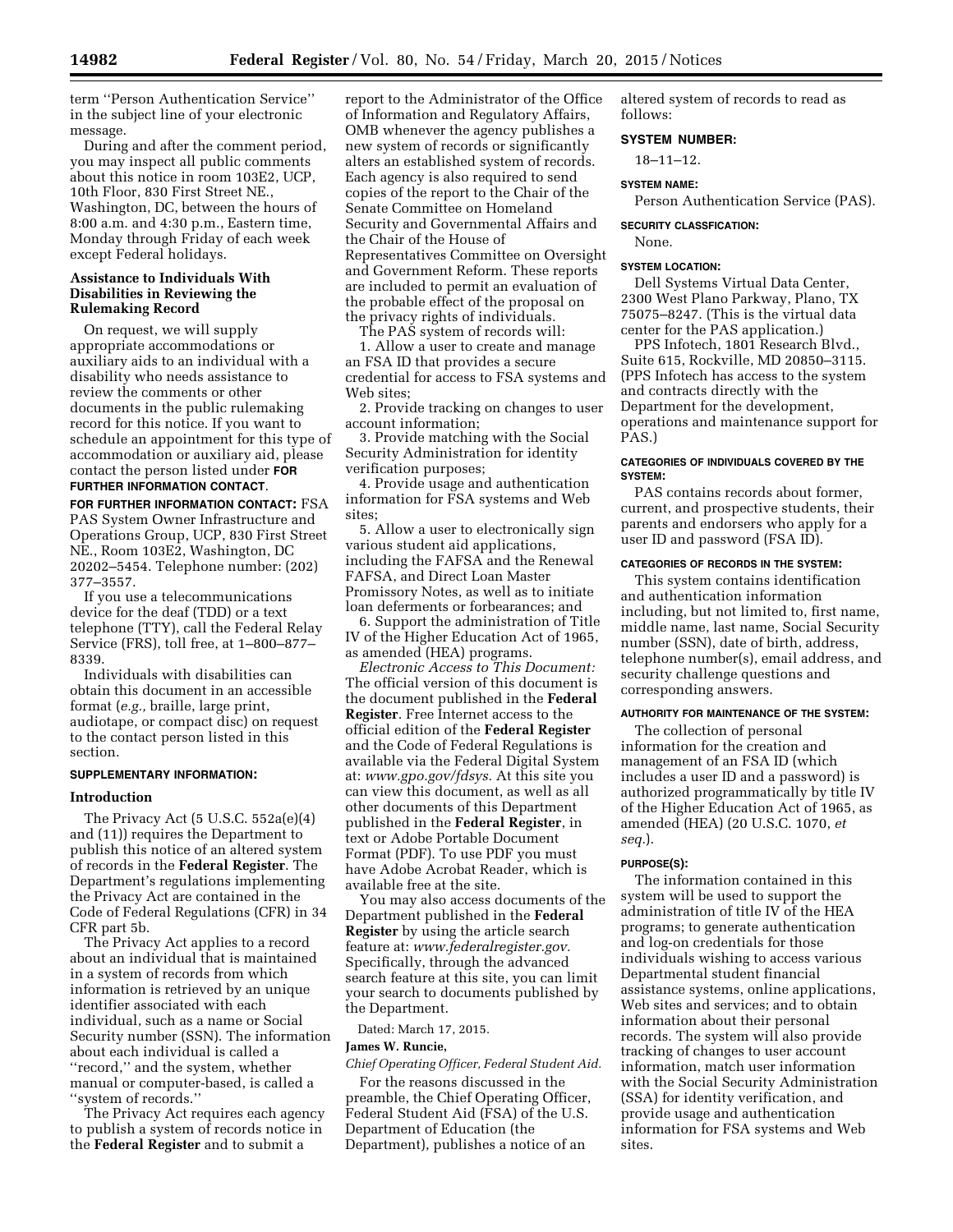term ''Person Authentication Service'' in the subject line of your electronic message.

During and after the comment period, you may inspect all public comments about this notice in room 103E2, UCP, 10th Floor, 830 First Street NE., Washington, DC, between the hours of 8:00 a.m. and 4:30 p.m., Eastern time, Monday through Friday of each week except Federal holidays.

## **Assistance to Individuals With Disabilities in Reviewing the Rulemaking Record**

On request, we will supply appropriate accommodations or auxiliary aids to an individual with a disability who needs assistance to review the comments or other documents in the public rulemaking record for this notice. If you want to schedule an appointment for this type of accommodation or auxiliary aid, please contact the person listed under **FOR**

### **FURTHER INFORMATION CONTACT**.

**FOR FURTHER INFORMATION CONTACT:** FSA PAS System Owner Infrastructure and Operations Group, UCP, 830 First Street NE., Room 103E2, Washington, DC 20202–5454. Telephone number: (202) 377–3557.

If you use a telecommunications device for the deaf (TDD) or a text telephone (TTY), call the Federal Relay Service (FRS), toll free, at 1–800–877– 8339.

Individuals with disabilities can obtain this document in an accessible format (*e.g.,* braille, large print, audiotape, or compact disc) on request to the contact person listed in this section.

## **SUPPLEMENTARY INFORMATION:**

### **Introduction**

The Privacy Act (5 U.S.C. 552a(e)(4) and (11)) requires the Department to publish this notice of an altered system of records in the **Federal Register**. The Department's regulations implementing the Privacy Act are contained in the Code of Federal Regulations (CFR) in 34 CFR part 5b.

The Privacy Act applies to a record about an individual that is maintained in a system of records from which information is retrieved by an unique identifier associated with each individual, such as a name or Social Security number (SSN). The information about each individual is called a ''record,'' and the system, whether manual or computer-based, is called a ''system of records.''

The Privacy Act requires each agency to publish a system of records notice in the **Federal Register** and to submit a

report to the Administrator of the Office of Information and Regulatory Affairs, OMB whenever the agency publishes a new system of records or significantly alters an established system of records. Each agency is also required to send copies of the report to the Chair of the Senate Committee on Homeland Security and Governmental Affairs and the Chair of the House of Representatives Committee on Oversight and Government Reform. These reports are included to permit an evaluation of the probable effect of the proposal on the privacy rights of individuals.

The PAS system of records will:

1. Allow a user to create and manage an FSA ID that provides a secure credential for access to FSA systems and Web sites;

2. Provide tracking on changes to user account information;

3. Provide matching with the Social Security Administration for identity verification purposes;

4. Provide usage and authentication information for FSA systems and Web sites;

5. Allow a user to electronically sign various student aid applications, including the FAFSA and the Renewal FAFSA, and Direct Loan Master Promissory Notes, as well as to initiate loan deferments or forbearances; and

6. Support the administration of Title IV of the Higher Education Act of 1965, as amended (HEA) programs.

*Electronic Access to This Document:*  The official version of this document is the document published in the **Federal Register**. Free Internet access to the official edition of the **Federal Register**  and the Code of Federal Regulations is available via the Federal Digital System at: *[www.gpo.gov/fdsys.](http://www.gpo.gov/fdsys)* At this site you can view this document, as well as all other documents of this Department published in the **Federal Register**, in text or Adobe Portable Document Format (PDF). To use PDF you must have Adobe Acrobat Reader, which is available free at the site.

You may also access documents of the Department published in the **Federal Register** by using the article search feature at: *[www.federalregister.gov.](http://www.federalregister.gov)*  Specifically, through the advanced search feature at this site, you can limit your search to documents published by the Department.

Dated: March 17, 2015.

# **James W. Runcie,**

*Chief Operating Officer, Federal Student Aid.* 

For the reasons discussed in the preamble, the Chief Operating Officer, Federal Student Aid (FSA) of the U.S. Department of Education (the Department), publishes a notice of an

altered system of records to read as follows:

### **SYSTEM NUMBER:**

18–11–12.

### **SYSTEM NAME:**

Person Authentication Service (PAS).

**SECURITY CLASSFICATION:** 

None.

## **SYSTEM LOCATION:**

Dell Systems Virtual Data Center, 2300 West Plano Parkway, Plano, TX 75075–8247. (This is the virtual data center for the PAS application.)

PPS Infotech, 1801 Research Blvd., Suite 615, Rockville, MD 20850–3115. (PPS Infotech has access to the system and contracts directly with the Department for the development, operations and maintenance support for PAS.)

### **CATEGORIES OF INDIVIDUALS COVERED BY THE SYSTEM:**

PAS contains records about former, current, and prospective students, their parents and endorsers who apply for a user ID and password (FSA ID).

## **CATEGORIES OF RECORDS IN THE SYSTEM:**

This system contains identification and authentication information including, but not limited to, first name, middle name, last name, Social Security number (SSN), date of birth, address, telephone number(s), email address, and security challenge questions and corresponding answers.

#### **AUTHORITY FOR MAINTENANCE OF THE SYSTEM:**

The collection of personal information for the creation and management of an FSA ID (which includes a user ID and a password) is authorized programmatically by title IV of the Higher Education Act of 1965, as amended (HEA) (20 U.S.C. 1070, *et seq.*).

### **PURPOSE(S):**

The information contained in this system will be used to support the administration of title IV of the HEA programs; to generate authentication and log-on credentials for those individuals wishing to access various Departmental student financial assistance systems, online applications, Web sites and services; and to obtain information about their personal records. The system will also provide tracking of changes to user account information, match user information with the Social Security Administration (SSA) for identity verification, and provide usage and authentication information for FSA systems and Web sites.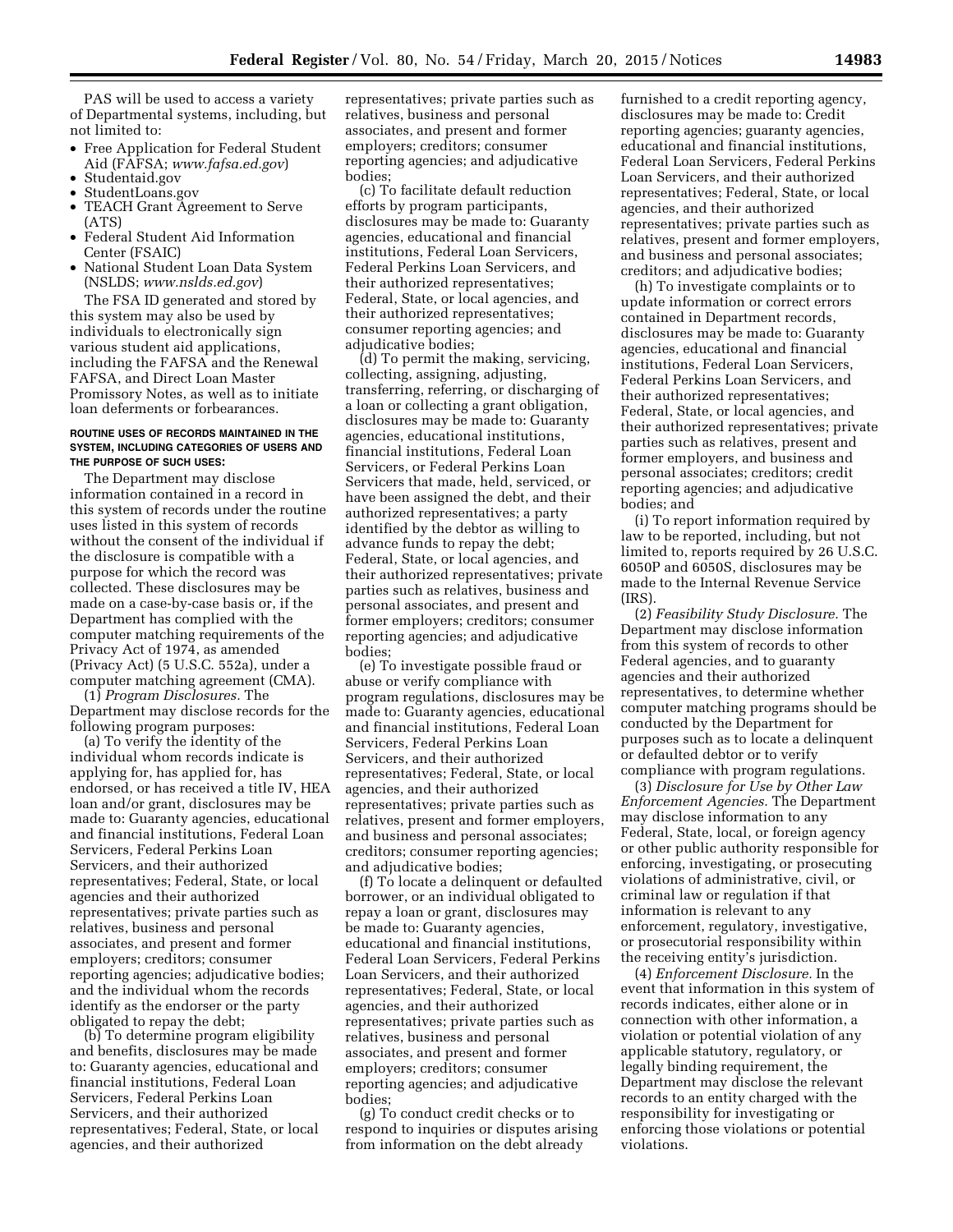PAS will be used to access a variety of Departmental systems, including, but not limited to:

- Free Application for Federal Student Aid (FAFSA; *[www.fafsa.ed.gov](http://www.fafsa.ed.gov)*)
- Studentaid.gov
- StudentLoans.gov
- TEACH Grant Agreement to Serve (ATS)
- Federal Student Aid Information Center (FSAIC)
- National Student Loan Data System (NSLDS; *[www.nslds.ed.gov](http://www.nslds.ed.gov)*)

The FSA ID generated and stored by this system may also be used by individuals to electronically sign various student aid applications, including the FAFSA and the Renewal FAFSA, and Direct Loan Master Promissory Notes, as well as to initiate loan deferments or forbearances.

### **ROUTINE USES OF RECORDS MAINTAINED IN THE SYSTEM, INCLUDING CATEGORIES OF USERS AND THE PURPOSE OF SUCH USES:**

The Department may disclose information contained in a record in this system of records under the routine uses listed in this system of records without the consent of the individual if the disclosure is compatible with a purpose for which the record was collected. These disclosures may be made on a case-by-case basis or, if the Department has complied with the computer matching requirements of the Privacy Act of 1974, as amended (Privacy Act) (5 U.S.C. 552a), under a computer matching agreement (CMA).

(1) *Program Disclosures.* The Department may disclose records for the following program purposes:

(a) To verify the identity of the individual whom records indicate is applying for, has applied for, has endorsed, or has received a title IV, HEA loan and/or grant, disclosures may be made to: Guaranty agencies, educational and financial institutions, Federal Loan Servicers, Federal Perkins Loan Servicers, and their authorized representatives; Federal, State, or local agencies and their authorized representatives; private parties such as relatives, business and personal associates, and present and former employers; creditors; consumer reporting agencies; adjudicative bodies; and the individual whom the records identify as the endorser or the party obligated to repay the debt;

(b) To determine program eligibility and benefits, disclosures may be made to: Guaranty agencies, educational and financial institutions, Federal Loan Servicers, Federal Perkins Loan Servicers, and their authorized representatives; Federal, State, or local agencies, and their authorized

representatives; private parties such as relatives, business and personal associates, and present and former employers; creditors; consumer reporting agencies; and adjudicative bodies;

(c) To facilitate default reduction efforts by program participants, disclosures may be made to: Guaranty agencies, educational and financial institutions, Federal Loan Servicers, Federal Perkins Loan Servicers, and their authorized representatives; Federal, State, or local agencies, and their authorized representatives; consumer reporting agencies; and adjudicative bodies;

(d) To permit the making, servicing, collecting, assigning, adjusting, transferring, referring, or discharging of a loan or collecting a grant obligation, disclosures may be made to: Guaranty agencies, educational institutions, financial institutions, Federal Loan Servicers, or Federal Perkins Loan Servicers that made, held, serviced, or have been assigned the debt, and their authorized representatives; a party identified by the debtor as willing to advance funds to repay the debt; Federal, State, or local agencies, and their authorized representatives; private parties such as relatives, business and personal associates, and present and former employers; creditors; consumer reporting agencies; and adjudicative bodies;

(e) To investigate possible fraud or abuse or verify compliance with program regulations, disclosures may be made to: Guaranty agencies, educational and financial institutions, Federal Loan Servicers, Federal Perkins Loan Servicers, and their authorized representatives; Federal, State, or local agencies, and their authorized representatives; private parties such as relatives, present and former employers, and business and personal associates; creditors; consumer reporting agencies; and adjudicative bodies;

(f) To locate a delinquent or defaulted borrower, or an individual obligated to repay a loan or grant, disclosures may be made to: Guaranty agencies, educational and financial institutions, Federal Loan Servicers, Federal Perkins Loan Servicers, and their authorized representatives; Federal, State, or local agencies, and their authorized representatives; private parties such as relatives, business and personal associates, and present and former employers; creditors; consumer reporting agencies; and adjudicative bodies;

(g) To conduct credit checks or to respond to inquiries or disputes arising from information on the debt already

furnished to a credit reporting agency, disclosures may be made to: Credit reporting agencies; guaranty agencies, educational and financial institutions, Federal Loan Servicers, Federal Perkins Loan Servicers, and their authorized representatives; Federal, State, or local agencies, and their authorized representatives; private parties such as relatives, present and former employers, and business and personal associates; creditors; and adjudicative bodies;

(h) To investigate complaints or to update information or correct errors contained in Department records, disclosures may be made to: Guaranty agencies, educational and financial institutions, Federal Loan Servicers, Federal Perkins Loan Servicers, and their authorized representatives; Federal, State, or local agencies, and their authorized representatives; private parties such as relatives, present and former employers, and business and personal associates; creditors; credit reporting agencies; and adjudicative bodies; and

(i) To report information required by law to be reported, including, but not limited to, reports required by 26 U.S.C. 6050P and 6050S, disclosures may be made to the Internal Revenue Service (IRS).

(2) *Feasibility Study Disclosure.* The Department may disclose information from this system of records to other Federal agencies, and to guaranty agencies and their authorized representatives, to determine whether computer matching programs should be conducted by the Department for purposes such as to locate a delinquent or defaulted debtor or to verify compliance with program regulations.

(3) *Disclosure for Use by Other Law Enforcement Agencies.* The Department may disclose information to any Federal, State, local, or foreign agency or other public authority responsible for enforcing, investigating, or prosecuting violations of administrative, civil, or criminal law or regulation if that information is relevant to any enforcement, regulatory, investigative, or prosecutorial responsibility within the receiving entity's jurisdiction.

(4) *Enforcement Disclosure.* In the event that information in this system of records indicates, either alone or in connection with other information, a violation or potential violation of any applicable statutory, regulatory, or legally binding requirement, the Department may disclose the relevant records to an entity charged with the responsibility for investigating or enforcing those violations or potential violations.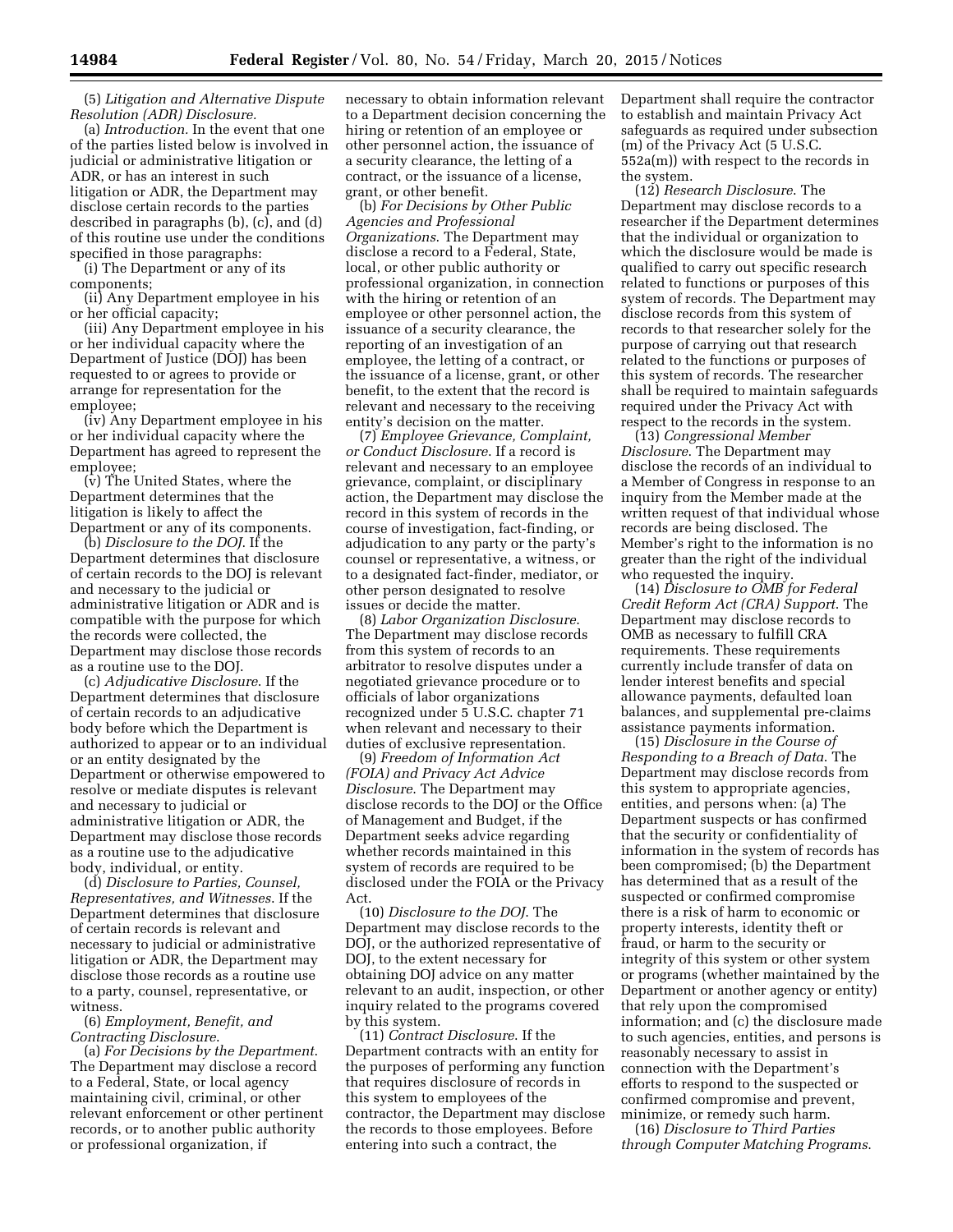(5) *Litigation and Alternative Dispute Resolution (ADR) Disclosure.* 

(a) *Introduction.* In the event that one of the parties listed below is involved in judicial or administrative litigation or ADR, or has an interest in such litigation or ADR, the Department may disclose certain records to the parties described in paragraphs (b), (c), and (d) of this routine use under the conditions specified in those paragraphs:

(i) The Department or any of its components;

(ii) Any Department employee in his or her official capacity;

(iii) Any Department employee in his or her individual capacity where the Department of Justice (DOJ) has been requested to or agrees to provide or arrange for representation for the employee;

(iv) Any Department employee in his or her individual capacity where the Department has agreed to represent the employee;

(v) The United States, where the Department determines that the litigation is likely to affect the Department or any of its components.

(b) *Disclosure to the DOJ*. If the Department determines that disclosure of certain records to the DOJ is relevant and necessary to the judicial or administrative litigation or ADR and is compatible with the purpose for which the records were collected, the Department may disclose those records as a routine use to the DOJ.

(c) *Adjudicative Disclosure*. If the Department determines that disclosure of certain records to an adjudicative body before which the Department is authorized to appear or to an individual or an entity designated by the Department or otherwise empowered to resolve or mediate disputes is relevant and necessary to judicial or administrative litigation or ADR, the Department may disclose those records as a routine use to the adjudicative body, individual, or entity.

(d) *Disclosure to Parties, Counsel, Representatives, and Witnesses*. If the Department determines that disclosure of certain records is relevant and necessary to judicial or administrative litigation or ADR, the Department may disclose those records as a routine use to a party, counsel, representative, or witness.

## (6) *Employment, Benefit, and Contracting Disclosure*.

(a) *For Decisions by the Department*. The Department may disclose a record to a Federal, State, or local agency maintaining civil, criminal, or other relevant enforcement or other pertinent records, or to another public authority or professional organization, if

necessary to obtain information relevant to a Department decision concerning the hiring or retention of an employee or other personnel action, the issuance of a security clearance, the letting of a contract, or the issuance of a license, grant, or other benefit.

(b) *For Decisions by Other Public Agencies and Professional Organizations*. The Department may disclose a record to a Federal, State, local, or other public authority or professional organization, in connection with the hiring or retention of an employee or other personnel action, the issuance of a security clearance, the reporting of an investigation of an employee, the letting of a contract, or the issuance of a license, grant, or other benefit, to the extent that the record is relevant and necessary to the receiving entity's decision on the matter.

(7) *Employee Grievance, Complaint, or Conduct Disclosure*. If a record is relevant and necessary to an employee grievance, complaint, or disciplinary action, the Department may disclose the record in this system of records in the course of investigation, fact-finding, or adjudication to any party or the party's counsel or representative, a witness, or to a designated fact-finder, mediator, or other person designated to resolve issues or decide the matter.

(8) *Labor Organization Disclosure*. The Department may disclose records from this system of records to an arbitrator to resolve disputes under a negotiated grievance procedure or to officials of labor organizations recognized under 5 U.S.C. chapter 71 when relevant and necessary to their duties of exclusive representation.

(9) *Freedom of Information Act (FOIA) and Privacy Act Advice Disclosure*. The Department may disclose records to the DOJ or the Office of Management and Budget, if the Department seeks advice regarding whether records maintained in this system of records are required to be disclosed under the FOIA or the Privacy Act.

(10) *Disclosure to the DOJ*. The Department may disclose records to the DOJ, or the authorized representative of DOJ, to the extent necessary for obtaining DOJ advice on any matter relevant to an audit, inspection, or other inquiry related to the programs covered by this system.

(11) *Contract Disclosure*. If the Department contracts with an entity for the purposes of performing any function that requires disclosure of records in this system to employees of the contractor, the Department may disclose the records to those employees. Before entering into such a contract, the

Department shall require the contractor to establish and maintain Privacy Act safeguards as required under subsection (m) of the Privacy Act (5 U.S.C. 552a(m)) with respect to the records in the system.

(12) *Research Disclosure*. The Department may disclose records to a researcher if the Department determines that the individual or organization to which the disclosure would be made is qualified to carry out specific research related to functions or purposes of this system of records. The Department may disclose records from this system of records to that researcher solely for the purpose of carrying out that research related to the functions or purposes of this system of records. The researcher shall be required to maintain safeguards required under the Privacy Act with respect to the records in the system.

(13) *Congressional Member Disclosure*. The Department may disclose the records of an individual to a Member of Congress in response to an inquiry from the Member made at the written request of that individual whose records are being disclosed. The Member's right to the information is no greater than the right of the individual who requested the inquiry.

(14) *Disclosure to OMB for Federal Credit Reform Act (CRA) Support*. The Department may disclose records to OMB as necessary to fulfill CRA requirements. These requirements currently include transfer of data on lender interest benefits and special allowance payments, defaulted loan balances, and supplemental pre-claims assistance payments information.

(15) *Disclosure in the Course of Responding to a Breach of Data*. The Department may disclose records from this system to appropriate agencies, entities, and persons when: (a) The Department suspects or has confirmed that the security or confidentiality of information in the system of records has been compromised; (b) the Department has determined that as a result of the suspected or confirmed compromise there is a risk of harm to economic or property interests, identity theft or fraud, or harm to the security or integrity of this system or other system or programs (whether maintained by the Department or another agency or entity) that rely upon the compromised information; and (c) the disclosure made to such agencies, entities, and persons is reasonably necessary to assist in connection with the Department's efforts to respond to the suspected or confirmed compromise and prevent, minimize, or remedy such harm.

(16) *Disclosure to Third Parties through Computer Matching Programs*.